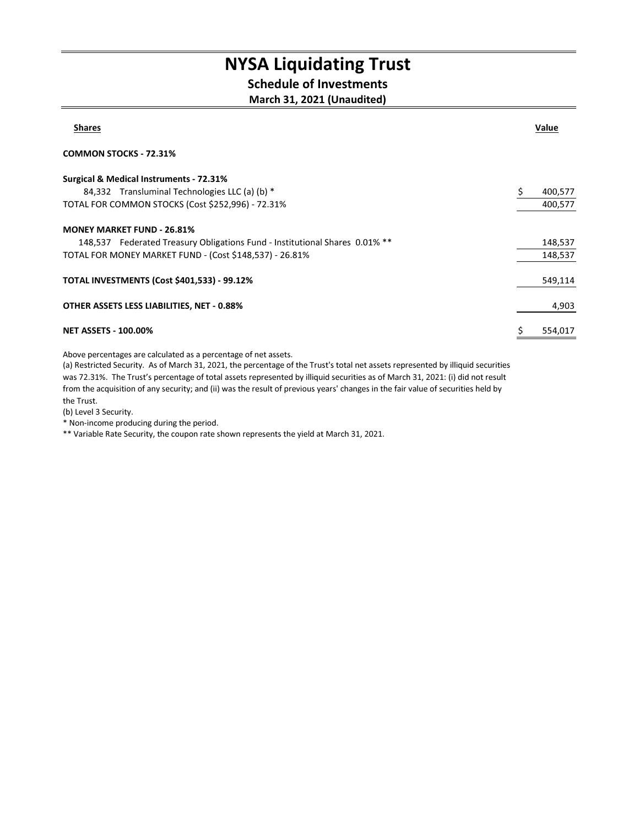## NYSA Liquidating Trust

### Schedule of Investments

#### March 31, 2021 (Unaudited)

| <b>Shares</b>                                                               | Value   |
|-----------------------------------------------------------------------------|---------|
| <b>COMMON STOCKS - 72.31%</b>                                               |         |
| <b>Surgical &amp; Medical Instruments - 72.31%</b>                          |         |
| 84,332 Transluminal Technologies LLC (a) (b) *                              | 400,577 |
| TOTAL FOR COMMON STOCKS (Cost \$252,996) - 72.31%                           | 400,577 |
| <b>MONEY MARKET FUND - 26.81%</b>                                           |         |
| 148,537 Federated Treasury Obligations Fund - Institutional Shares 0.01% ** | 148,537 |
| TOTAL FOR MONEY MARKET FUND - (Cost \$148,537) - 26.81%                     | 148,537 |
| <b>TOTAL INVESTMENTS (Cost \$401,533) - 99.12%</b>                          | 549,114 |
| OTHER ASSETS LESS LIABILITIES, NET - 0.88%                                  | 4,903   |
| <b>NET ASSETS - 100.00%</b>                                                 | 554,017 |

Above percentages are calculated as a percentage of net assets.

(a) Restricted Security. As of March 31, 2021, the percentage of the Trust's total net assets represented by illiquid securities was 72.31%. The Trust's percentage of total assets represented by illiquid securities as of March 31, 2021: (i) did not result from the acquisition of any security; and (ii) was the result of previous years' changes in the fair value of securities held by the Trust.

(b) Level 3 Security.

\* Non-income producing during the period.

\*\* Variable Rate Security, the coupon rate shown represents the yield at March 31, 2021.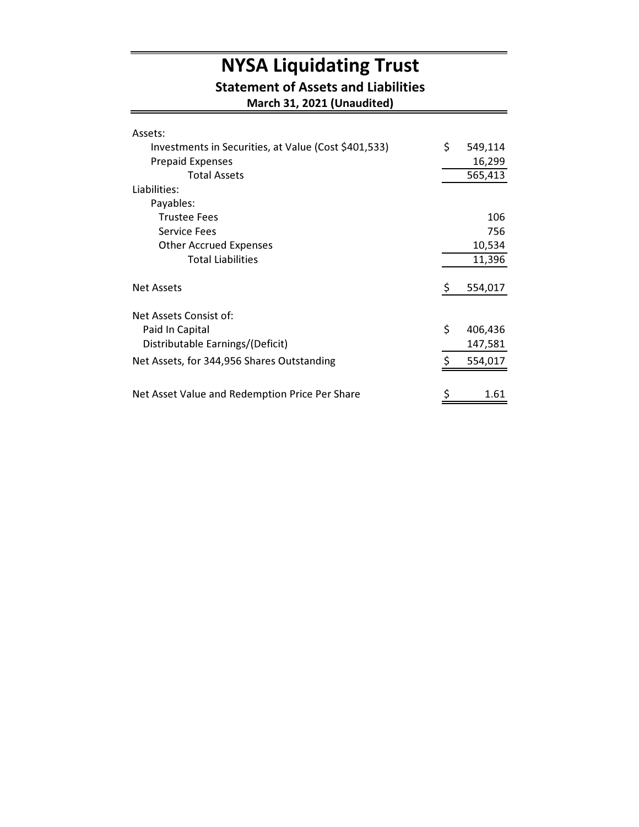# NYSA Liquidating Trust

#### Statement of Assets and Liabilities

March 31, 2021 (Unaudited)

| Assets:                                              |               |
|------------------------------------------------------|---------------|
| Investments in Securities, at Value (Cost \$401,533) | \$<br>549,114 |
| <b>Prepaid Expenses</b>                              | 16,299        |
| <b>Total Assets</b>                                  | 565,413       |
| Liabilities:                                         |               |
| Payables:                                            |               |
| <b>Trustee Fees</b>                                  | 106           |
| <b>Service Fees</b>                                  | 756           |
| <b>Other Accrued Expenses</b>                        | 10,534        |
| <b>Total Liabilities</b>                             | 11,396        |
| <b>Net Assets</b>                                    | \$<br>554,017 |
| Net Assets Consist of:                               |               |
| Paid In Capital                                      | \$<br>406,436 |
| Distributable Earnings/(Deficit)                     | 147,581       |
| Net Assets, for 344,956 Shares Outstanding           | \$<br>554,017 |
|                                                      |               |
| Net Asset Value and Redemption Price Per Share       | \$<br>1.61    |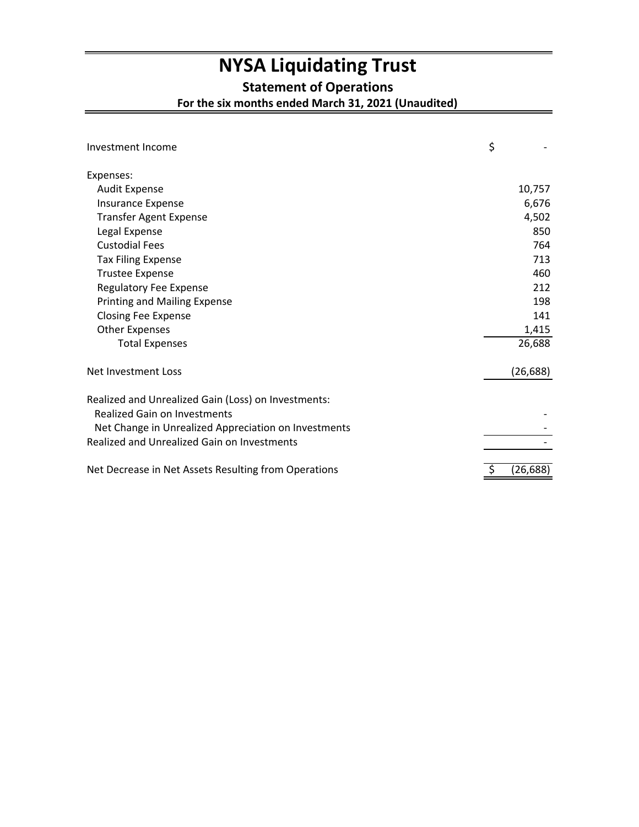## **NYSA Liquidating Trust**

**Statement of Operations**

**For the six months ended March 31, 2021 (Unaudited)**

| Investment Income                                    | \$        |
|------------------------------------------------------|-----------|
| Expenses:                                            |           |
| <b>Audit Expense</b>                                 | 10,757    |
| Insurance Expense                                    | 6,676     |
| <b>Transfer Agent Expense</b>                        | 4,502     |
| Legal Expense                                        | 850       |
| <b>Custodial Fees</b>                                | 764       |
| <b>Tax Filing Expense</b>                            | 713       |
| <b>Trustee Expense</b>                               | 460       |
| <b>Regulatory Fee Expense</b>                        | 212       |
| <b>Printing and Mailing Expense</b>                  | 198       |
| <b>Closing Fee Expense</b>                           | 141       |
| <b>Other Expenses</b>                                | 1,415     |
| <b>Total Expenses</b>                                | 26,688    |
| Net Investment Loss                                  | (26, 688) |
| Realized and Unrealized Gain (Loss) on Investments:  |           |
| Realized Gain on Investments                         |           |
| Net Change in Unrealized Appreciation on Investments |           |
| <b>Realized and Unrealized Gain on Investments</b>   |           |
| Net Decrease in Net Assets Resulting from Operations | (26,688)  |